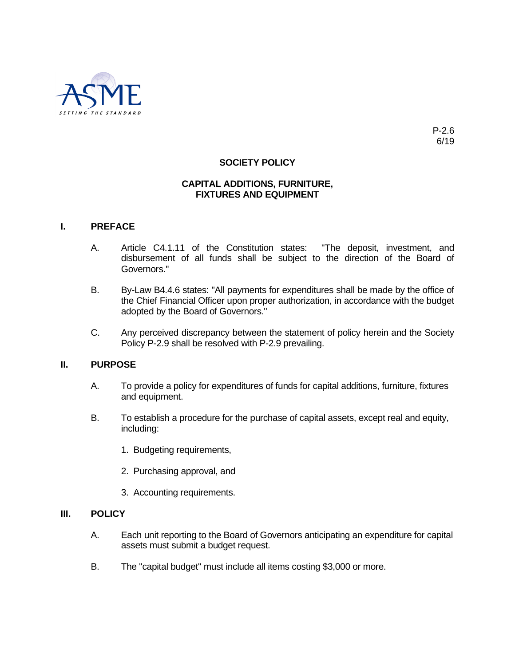

# **SOCIETY POLICY**

# **CAPITAL ADDITIONS, FURNITURE, FIXTURES AND EQUIPMENT**

### **I. PREFACE**

- A. Article C4.1.11 of the Constitution states: "The deposit, investment, and disbursement of all funds shall be subject to the direction of the Board of Governors."
- B. By-Law B4.4.6 states: "All payments for expenditures shall be made by the office of the Chief Financial Officer upon proper authorization, in accordance with the budget adopted by the Board of Governors."
- C. Any perceived discrepancy between the statement of policy herein and the Society Policy P-2.9 shall be resolved with P-2.9 prevailing.

#### **II. PURPOSE**

- A. To provide a policy for expenditures of funds for capital additions, furniture, fixtures and equipment.
- B. To establish a procedure for the purchase of capital assets, except real and equity, including:
	- 1. Budgeting requirements,
	- 2. Purchasing approval, and
	- 3. Accounting requirements.

# **III. POLICY**

- A. Each unit reporting to the Board of Governors anticipating an expenditure for capital assets must submit a budget request.
- B. The "capital budget" must include all items costing \$3,000 or more.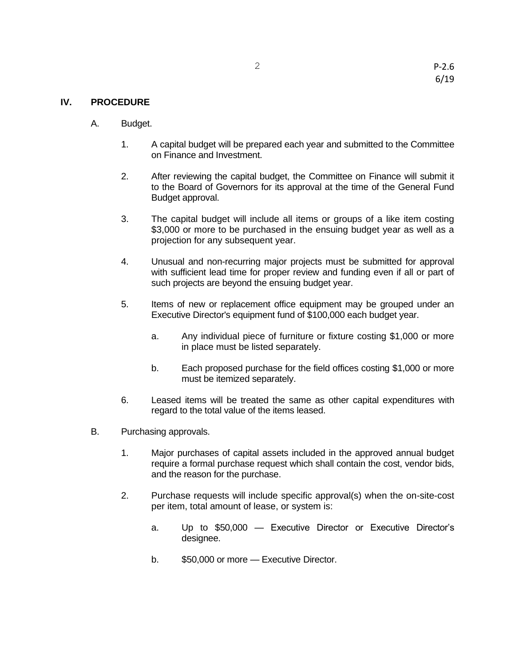# **IV. PROCEDURE**

- A. Budget.
	- 1. A capital budget will be prepared each year and submitted to the Committee on Finance and Investment.
	- 2. After reviewing the capital budget, the Committee on Finance will submit it to the Board of Governors for its approval at the time of the General Fund Budget approval.
	- 3. The capital budget will include all items or groups of a like item costing \$3,000 or more to be purchased in the ensuing budget year as well as a projection for any subsequent year.
	- 4. Unusual and non-recurring major projects must be submitted for approval with sufficient lead time for proper review and funding even if all or part of such projects are beyond the ensuing budget year.
	- 5. Items of new or replacement office equipment may be grouped under an Executive Director's equipment fund of \$100,000 each budget year.
		- a. Any individual piece of furniture or fixture costing \$1,000 or more in place must be listed separately.
		- b. Each proposed purchase for the field offices costing \$1,000 or more must be itemized separately.
	- 6. Leased items will be treated the same as other capital expenditures with regard to the total value of the items leased.
- B. Purchasing approvals.
	- 1. Major purchases of capital assets included in the approved annual budget require a formal purchase request which shall contain the cost, vendor bids, and the reason for the purchase.
	- 2. Purchase requests will include specific approval(s) when the on-site-cost per item, total amount of lease, or system is:
		- a. Up to \$50,000 Executive Director or Executive Director's designee.
		- b. \$50,000 or more Executive Director.